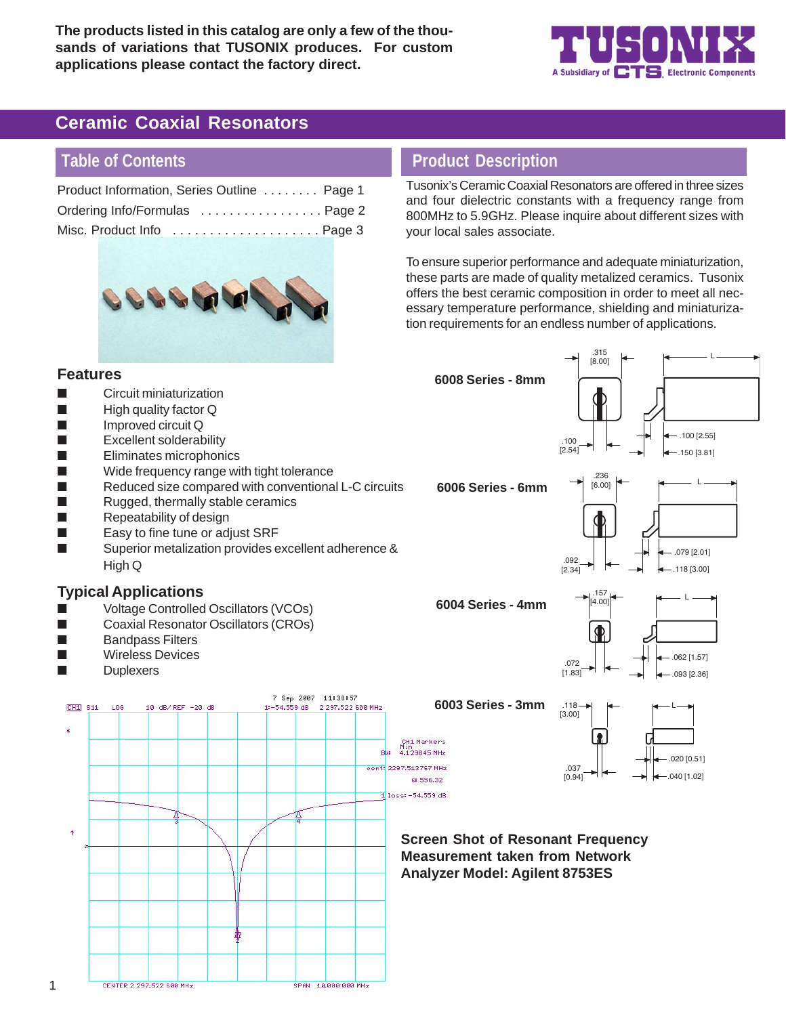**The products listed in this catalog are only a few of the thousands of variations that TUSONIX produces. For custom applications please contact the factory direct.**



# **Ceramic Coaxial Resonators**

# **Table of Contents**

**Features**

| Product Information, Series Outline  Page 1 |  |
|---------------------------------------------|--|
| Ordering Info/Formulas  Page 2              |  |
|                                             |  |



## **Product Description**

Tusonix's Ceramic Coaxial Resonators are offered in three sizes and four dielectric constants with a frequency range from 800MHz to 5.9GHz. Please inquire about different sizes with your local sales associate.

To ensure superior performance and adequate miniaturization, these parts are made of quality metalized ceramics. Tusonix offers the best ceramic composition in order to meet all necessary temperature performance, shielding and miniaturization requirements for an endless number of applications.



■ Superior metalization provides excellent adherence & High Q

#### **Typical Applications**

- Voltage Controlled Oscillators (VCOs)
- Coaxial Resonator Oscillators (CROs)
- **Bandpass Filters**
- Wireless Devices
- **Duplexers**

1



#### **6008 Series - 8mm**



**6006 Series - 6mm**





**6004 Series - 4mm**



**6003 Series - 3mm**

0:556.32



#### **Screen Shot of Resonant Frequency Measurement taken from Network Analyzer Model: Agilent 8753ES**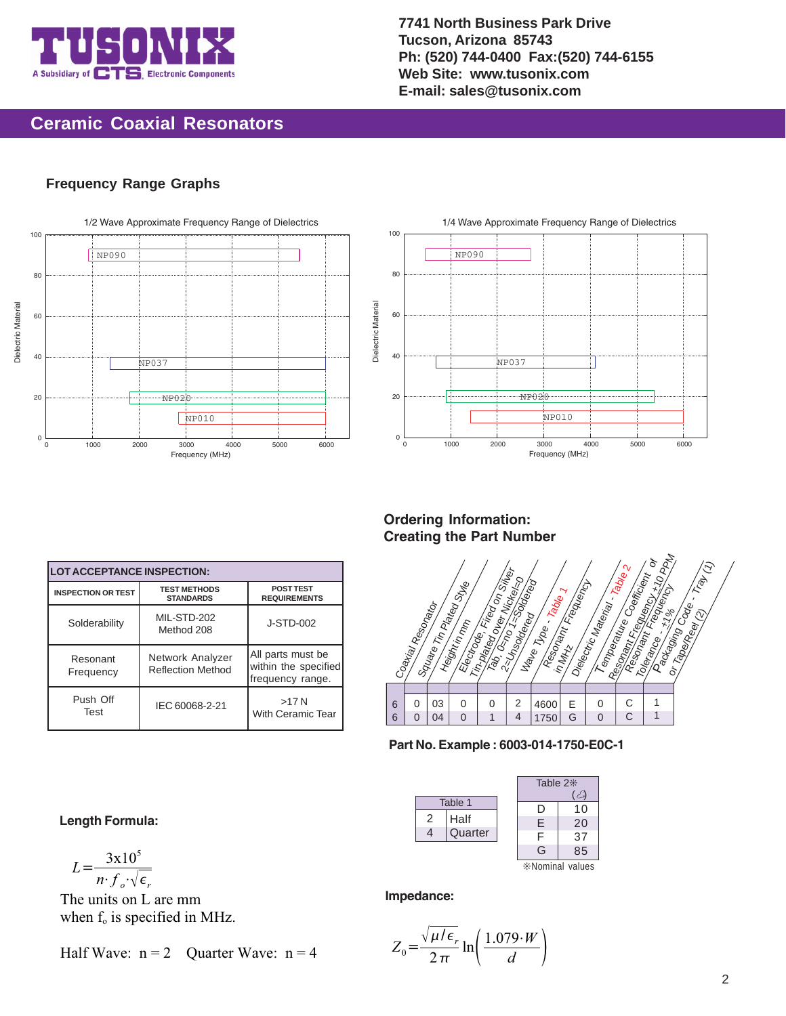

**7741 North Business Park Drive Tucson, Arizona 85743 Ph: (520) 744-0400 Fax:(520) 744-6155 Web Site: www.tusonix.com E-mail: sales@tusonix.com**

## **Ceramic Coaxial Resonators**

#### **Frequency Range Graphs**





**Ordering Information: Creating the Part Number**

|   | Coa <sub>rtial</sub> Reso <sub>nator</sub> |    | Souare Tr <sub>n Pateo Stug</sub><br>Height in mm | Electrone Fried on Silver<br>Th.pategores Michael | Tab, Osno TsSoriogi<br>2-Unsoldered | Ma <sub>lle Type</sub> 、 <sub>Table T</sub> | Resonant Frequency<br>in MHz | Dielectric Material - Table 2 | Temperature Coemicion c | <b>Kesonant Francesco</b><br>Tolerance  +17 or | Packaging Code: Trajl (1)<br>or TapeyReel (2) |
|---|--------------------------------------------|----|---------------------------------------------------|---------------------------------------------------|-------------------------------------|---------------------------------------------|------------------------------|-------------------------------|-------------------------|------------------------------------------------|-----------------------------------------------|
|   |                                            |    |                                                   |                                                   |                                     |                                             |                              |                               |                         |                                                |                                               |
| 6 | 0                                          | 03 | 0                                                 | 0                                                 | 2                                   | 4600                                        | E                            | 0                             |                         |                                                |                                               |
| 6 | 0                                          | 04 | $\overline{0}$                                    | 1                                                 | 4                                   | 1750                                        | G                            | $\overline{0}$                | Ć                       |                                                |                                               |



|   |         | Table $2*$      |    |  |
|---|---------|-----------------|----|--|
|   | Table 1 | I)              | 10 |  |
| 2 | Half    | E               | 20 |  |
| 4 | Quarter | F               | 37 |  |
|   |         | G               | 85 |  |
|   |         | *Nominal values |    |  |

#### **Impedance:**

$$
Z_0 = \frac{\sqrt{\mu/\epsilon_r}}{2\pi} \ln\left(\frac{1.079 \cdot W}{d}\right)
$$

**Length Formula:**

**LOT ACCEPTANCE INSPECTION: INSPECTION OR TEST TEST METHODS**

Solderability

Resonant Frequency

Push Off Test

**STANDARDS**

Network Analyzer Reflection Method

IEC 60068-2-21

MIL-STD-202 Method 208

**POST TEST REQUIREMENTS**

J-STD-002

All parts must be within the specified frequency range. >17 N With Ceramic Tear

$$
L = \frac{3x10^5}{n \cdot f_o \cdot \sqrt{\epsilon_r}}
$$

The units on L are mm when  $f_0$  is specified in MHz.

Half Wave:  $n = 2$  Ouarter Wave:  $n = 4$ 

2